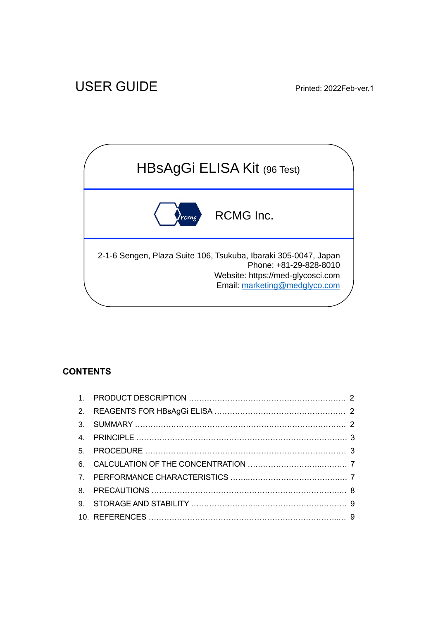

# **CONTENTS**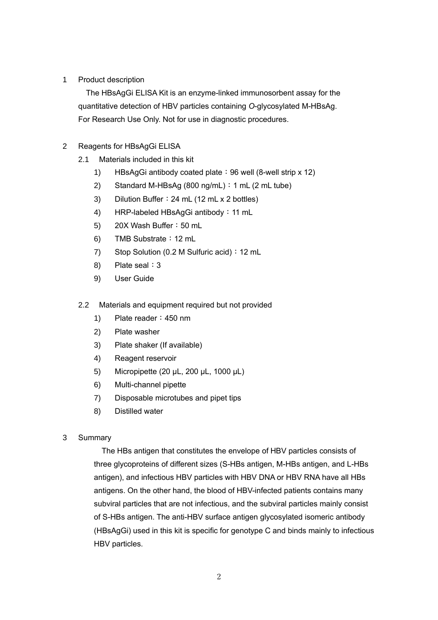### 1 Product description

The HBsAgGi ELISA Kit is an enzyme-linked immunosorbent assay for the quantitative detection of HBV particles containing *O*-glycosylated M-HBsAg. For Research Use Only. Not for use in diagnostic procedures.

### 2 Reagents for HBsAgGi ELISA

- 2.1 Materials included in this kit
	- 1) HBsAgGi antibody coated plate: 96 well (8-well strip x 12)
	- 2) Standard M-HBsAg (800 ng/mL):1 mL (2 mL tube)
	- 3) Dilution Buffer: 24 mL (12 mL x 2 bottles)
	- 4) HRP-labeled HBsAgGi antibody:11 mL
	- 5) 20X Wash Buffer: 50 mL
	- 6) TMB Substrate:12 mL
	- 7) Stop Solution (0.2 M Sulfuric acid): 12 mL
	- 8) Plate seal: 3
	- 9) User Guide

### 2.2 Materials and equipment required but not provided

- 1) Plate reader: 450 nm
- 2) Plate washer
- 3) Plate shaker (If available)
- 4) Reagent reservoir
- 5) Micropipette (20 µL, 200 µL, 1000 µL)
- 6) Multi-channel pipette
- 7) Disposable microtubes and pipet tips
- 8) Distilled water

### 3 Summary

The HBs antigen that constitutes the envelope of HBV particles consists of three glycoproteins of different sizes (S-HBs antigen, M-HBs antigen, and L-HBs antigen), and infectious HBV particles with HBV DNA or HBV RNA have all HBs antigens. On the other hand, the blood of HBV-infected patients contains many subviral particles that are not infectious, and the subviral particles mainly consist of S-HBs antigen. The anti-HBV surface antigen glycosylated isomeric antibody (HBsAgGi) used in this kit is specific for genotype C and binds mainly to infectious HBV particles.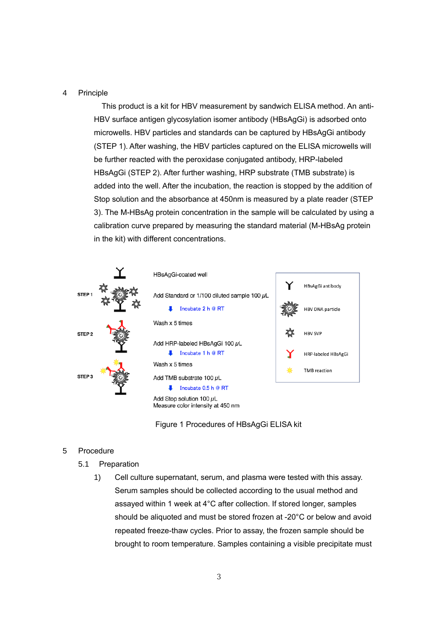#### 4 Principle

This product is a kit for HBV measurement by sandwich ELISA method. An anti-HBV surface antigen glycosylation isomer antibody (HBsAgGi) is adsorbed onto microwells. HBV particles and standards can be captured by HBsAgGi antibody (STEP 1). After washing, the HBV particles captured on the ELISA microwells will be further reacted with the peroxidase conjugated antibody, HRP-labeled HBsAgGi (STEP 2). After further washing, HRP substrate (TMB substrate) is added into the well. After the incubation, the reaction is stopped by the addition of Stop solution and the absorbance at 450nm is measured by a plate reader (STEP 3). The M-HBsAg protein concentration in the sample will be calculated by using a calibration curve prepared by measuring the standard material (M-HBsAg protein in the kit) with different concentrations.



Figure 1 Procedures of HBsAgGi ELISA kit

#### 5 Procedure

- 5.1 Preparation
	- 1) Cell culture supernatant, serum, and plasma were tested with this assay. Serum samples should be collected according to the usual method and assayed within 1 week at 4°C after collection. If stored longer, samples should be aliquoted and must be stored frozen at -20°C or below and avoid repeated freeze-thaw cycles. Prior to assay, the frozen sample should be brought to room temperature. Samples containing a visible precipitate must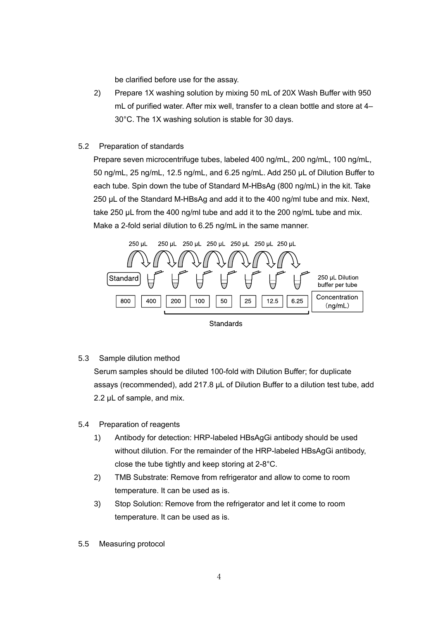be clarified before use for the assay.

- 2) Prepare 1X washing solution by mixing 50 mL of 20X Wash Buffer with 950 mL of purified water. After mix well, transfer to a clean bottle and store at 4– 30°C. The 1X washing solution is stable for 30 days.
- 5.2 Preparation of standards

Prepare seven microcentrifuge tubes, labeled 400 ng/mL, 200 ng/mL, 100 ng/mL, 50 ng/mL, 25 ng/mL, 12.5 ng/mL, and 6.25 ng/mL. Add 250 µL of Dilution Buffer to each tube. Spin down the tube of Standard M-HBsAg (800 ng/mL) in the kit. Take 250 µL of the Standard M-HBsAg and add it to the 400 ng/ml tube and mix. Next, take 250 µL from the 400 ng/ml tube and add it to the 200 ng/mL tube and mix. Make a 2-fold serial dilution to 6.25 ng/mL in the same manner.



5.3 Sample dilution method

Serum samples should be diluted 100-fold with Dilution Buffer; for duplicate assays (recommended), add 217.8 µL of Dilution Buffer to a dilution test tube, add 2.2  $\mu$ L of sample, and mix.

- 5.4 Preparation of reagents
	- 1) Antibody for detection: HRP-labeled HBsAgGi antibody should be used without dilution. For the remainder of the HRP-labeled HBsAgGi antibody, close the tube tightly and keep storing at 2-8°C.
	- 2) TMB Substrate: Remove from refrigerator and allow to come to room temperature. It can be used as is.
	- 3) Stop Solution: Remove from the refrigerator and let it come to room temperature. It can be used as is.
- 5.5 Measuring protocol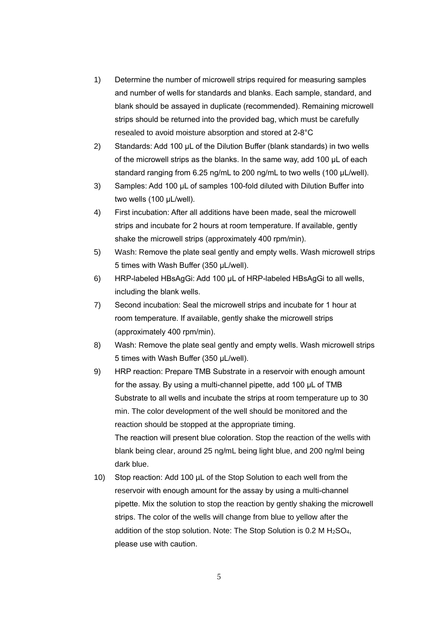- 1) Determine the number of microwell strips required for measuring samples and number of wells for standards and blanks. Each sample, standard, and blank should be assayed in duplicate (recommended). Remaining microwell strips should be returned into the provided bag, which must be carefully resealed to avoid moisture absorption and stored at 2-8°C
- 2) Standards: Add 100 µL of the Dilution Buffer (blank standards) in two wells of the microwell strips as the blanks. In the same way, add 100 µL of each standard ranging from 6.25 ng/mL to 200 ng/mL to two wells (100 µL/well).
- 3) Samples: Add 100 µL of samples 100-fold diluted with Dilution Buffer into two wells (100 µL/well).
- 4) First incubation: After all additions have been made, seal the microwell strips and incubate for 2 hours at room temperature. If available, gently shake the microwell strips (approximately 400 rpm/min).
- 5) Wash: Remove the plate seal gently and empty wells. Wash microwell strips 5 times with Wash Buffer (350 µL/well).
- 6) HRP-labeled HBsAgGi: Add 100 μL of HRP-labeled HBsAgGi to all wells, including the blank wells.
- 7) Second incubation: Seal the microwell strips and incubate for 1 hour at room temperature. If available, gently shake the microwell strips (approximately 400 rpm/min).
- 8) Wash: Remove the plate seal gently and empty wells. Wash microwell strips 5 times with Wash Buffer (350 µL/well).
- 9) HRP reaction: Prepare TMB Substrate in a reservoir with enough amount for the assay. By using a multi-channel pipette, add 100 µL of TMB Substrate to all wells and incubate the strips at room temperature up to 30 min. The color development of the well should be monitored and the reaction should be stopped at the appropriate timing. The reaction will present blue coloration. Stop the reaction of the wells with blank being clear, around 25 ng/mL being light blue, and 200 ng/ml being dark blue.
- 10) Stop reaction: Add 100 µL of the Stop Solution to each well from the reservoir with enough amount for the assay by using a multi-channel pipette. Mix the solution to stop the reaction by gently shaking the microwell strips. The color of the wells will change from blue to yellow after the addition of the stop solution. Note: The Stop Solution is  $0.2 M H<sub>2</sub>SO<sub>4</sub>$ , please use with caution.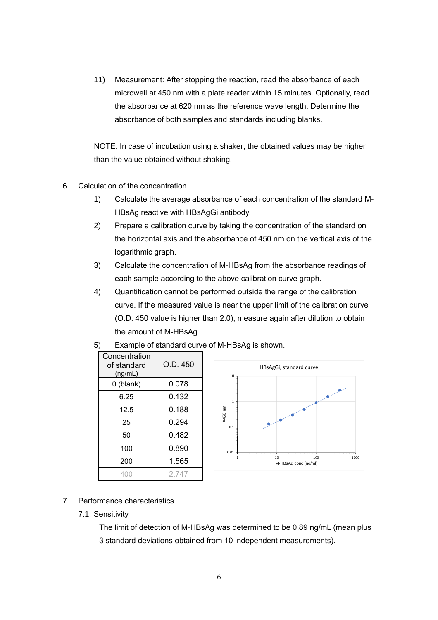11) Measurement: After stopping the reaction, read the absorbance of each microwell at 450 nm with a plate reader within 15 minutes. Optionally, read the absorbance at 620 nm as the reference wave length. Determine the absorbance of both samples and standards including blanks.

NOTE: In case of incubation using a shaker, the obtained values may be higher than the value obtained without shaking.

- 6 Calculation of the concentration
	- 1) Calculate the average absorbance of each concentration of the standard M-HBsAg reactive with HBsAgGi antibody.
	- 2) Prepare a calibration curve by taking the concentration of the standard on the horizontal axis and the absorbance of 450 nm on the vertical axis of the logarithmic graph.
	- 3) Calculate the concentration of M-HBsAg from the absorbance readings of each sample according to the above calibration curve graph.
	- 4) Quantification cannot be performed outside the range of the calibration curve. If the measured value is near the upper limit of the calibration curve (O.D. 450 value is higher than 2.0), measure again after dilution to obtain the amount of M-HBsAg.





5) Example of standard curve of M-HBsAg is shown.

- 7 Performance characteristics
	- 7.1. Sensitivity

The limit of detection of M-HBsAg was determined to be 0.89 ng/mL (mean plus 3 standard deviations obtained from 10 independent measurements).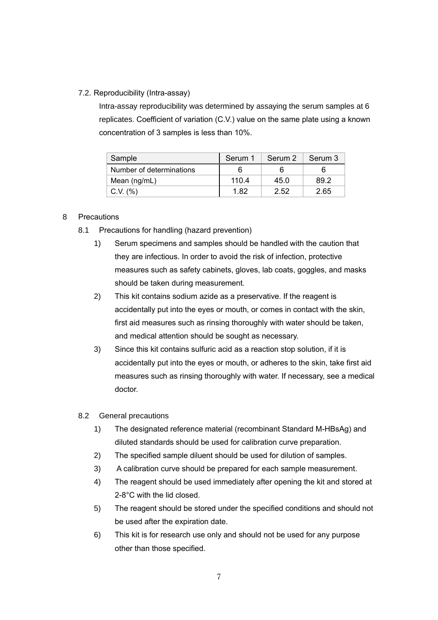### 7.2. Reproducibility (Intra-assay)

Intra-assay reproducibility was determined by assaying the serum samples at 6 replicates. Coefficient of variation (C.V.) value on the same plate using a known concentration of 3 samples is less than 10%.

| Sample                   | Serum 1 | Serum 2 | Serum 3 |
|--------------------------|---------|---------|---------|
| Number of determinations |         |         |         |
| Mean (ng/mL)             | 110.4   | 45.0    | 89.2    |
| $C.V.$ $(\%)$            | 1.82    | 2.52    | 2.65    |

### 8 Precautions

- 8.1 Precautions for handling (hazard prevention)
	- 1) Serum specimens and samples should be handled with the caution that they are infectious. In order to avoid the risk of infection, protective measures such as safety cabinets, gloves, lab coats, goggles, and masks should be taken during measurement.
	- 2) This kit contains sodium azide as a preservative. If the reagent is accidentally put into the eyes or mouth, or comes in contact with the skin, first aid measures such as rinsing thoroughly with water should be taken, and medical attention should be sought as necessary.
	- 3) Since this kit contains sulfuric acid as a reaction stop solution, if it is accidentally put into the eyes or mouth, or adheres to the skin, take first aid measures such as rinsing thoroughly with water. If necessary, see a medical doctor.
- 8.2 General precautions
	- 1) The designated reference material (recombinant Standard M-HBsAg) and diluted standards should be used for calibration curve preparation.
	- 2) The specified sample diluent should be used for dilution of samples.
	- 3) A calibration curve should be prepared for each sample measurement.
	- 4) The reagent should be used immediately after opening the kit and stored at 2-8°C with the lid closed.
	- 5) The reagent should be stored under the specified conditions and should not be used after the expiration date.
	- 6) This kit is for research use only and should not be used for any purpose other than those specified.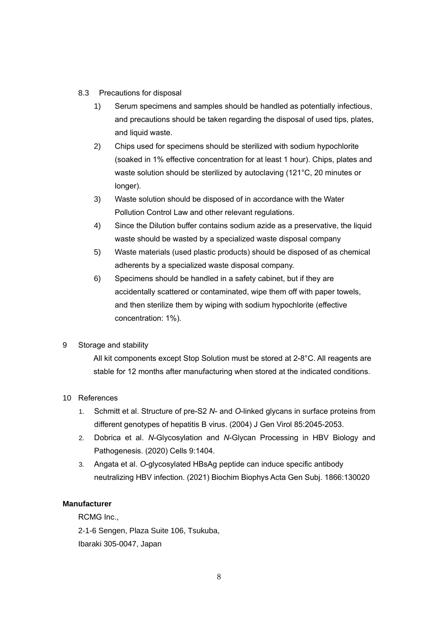- 8.3 Precautions for disposal
	- 1) Serum specimens and samples should be handled as potentially infectious, and precautions should be taken regarding the disposal of used tips, plates, and liquid waste.
	- 2) Chips used for specimens should be sterilized with sodium hypochlorite (soaked in 1% effective concentration for at least 1 hour). Chips, plates and waste solution should be sterilized by autoclaving (121°C, 20 minutes or longer).
	- 3) Waste solution should be disposed of in accordance with the Water Pollution Control Law and other relevant regulations.
	- 4) Since the Dilution buffer contains sodium azide as a preservative, the liquid waste should be wasted by a specialized waste disposal company
	- 5) Waste materials (used plastic products) should be disposed of as chemical adherents by a specialized waste disposal company.
	- 6) Specimens should be handled in a safety cabinet, but if they are accidentally scattered or contaminated, wipe them off with paper towels, and then sterilize them by wiping with sodium hypochlorite (effective concentration: 1%).

## 9 Storage and stability

All kit components except Stop Solution must be stored at 2-8°C. All reagents are stable for 12 months after manufacturing when stored at the indicated conditions.

### 10 References

- 1. Schmitt et al. Structure of pre-S2 *N* and *O*-linked glycans in surface proteins from different genotypes of hepatitis B virus. (2004) J Gen Virol 85:2045-2053.
- 2. Dobrica et al. *N*-Glycosylation and *N*-Glycan Processing in HBV Biology and Pathogenesis. (2020) Cells 9:1404.
- 3. Angata et al. *O*-glycosylated HBsAg peptide can induce specific antibody neutralizing HBV infection. (2021) Biochim Biophys Acta Gen Subj. 1866:130020

### **Manufacturer**

RCMG Inc., 2-1-6 Sengen, Plaza Suite 106, Tsukuba, Ibaraki 305-0047, Japan